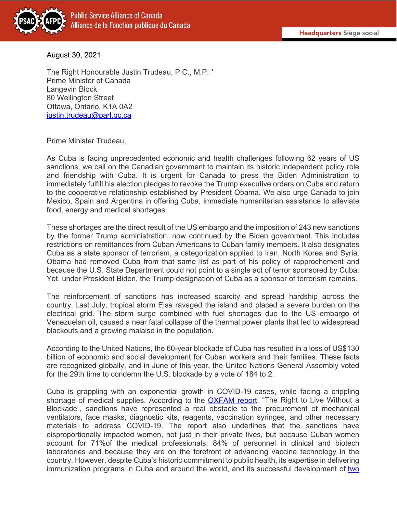

August 30, 2021

The Right Honourable Justin Trudeau, P.C., M.P. \* Prime Minister of Canada Langevin Block 80 Wellington Street Ottawa, Ontario, K1A 0A2 [justin.trudeau@parl.gc.ca](mailto:justin.trudeau@parl.gc.ca)

Prime Minister Trudeau,

As Cuba is facing unprecedented economic and health challenges following 62 years of US sanctions, we call on the Canadian government to maintain its historic independent policy role and friendship with Cuba. It is urgent for Canada to press the Biden Administration to immediately fulfill his election pledges to revoke the Trump executive orders on Cuba and return to the cooperative relationship established by President Obama. We also urge Canada to join Mexico, Spain and Argentina in offering Cuba, immediate humanitarian assistance to alleviate food, energy and medical shortages.

These shortages are the direct result of the US embargo and the imposition of 243 new sanctions by the former Trump administration, now continued by the Biden government. This includes restrictions on remittances from Cuban Americans to Cuban family members. It also designates Cuba as a state sponsor of terrorism, a categorization applied to Iran, North Korea and Syria. Obama had removed Cuba from that same list as part of his policy of rapprochement and because the U.S. State Department could not point to a single act of terror sponsored by Cuba. Yet, under President Biden, the Trump designation of Cuba as a sponsor of terrorism remains.

The reinforcement of sanctions has increased scarcity and spread hardship across the country. Last July, tropical storm Elsa ravaged the island and placed a severe burden on the electrical grid. The storm surge combined with fuel shortages due to the US embargo of Venezuelan oil, caused a near fatal collapse of the thermal power plants that led to widespread blackouts and a growing malaise in the population.

According to the United Nations, the 60-year blockade of Cuba has resulted in a loss of US\$130 billion of economic and social development for Cuban workers and their families. These facts are recognized globally, and in June of this year, the United Nations General Assembly voted for the 29th time to condemn the U.S. blockade by a vote of 184 to 2.

Cuba is grappling with an exponential growth in COVID-19 cases, while facing a crippling shortage of medical supplies. According to the **OXFAM report**, "The Right to Live Without a Blockade", sanctions have represented a real obstacle to the procurement of mechanical ventilators, face masks, diagnostic kits, reagents, vaccination syringes, and other necessary materials to address COVID-19. The report also underlines that the sanctions have disproportionally impacted women, not just in their private lives, but because Cuban women account for 71%of the medical professionals; 84% of personnel in clinical and biotech laboratories and because they are on the forefront of advancing vaccine technology in the country. However, despite Cuba's historic commitment to public health, its expertise in delivering immunization programs in Cuba and around the world, and its successful development of two